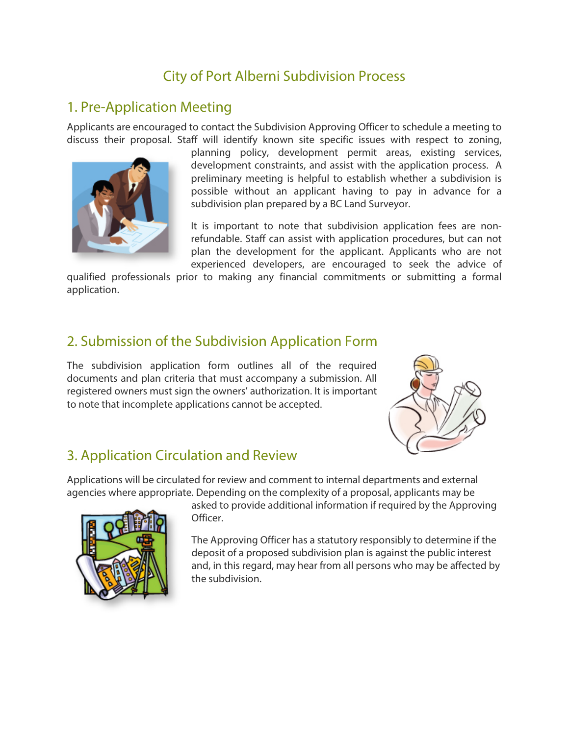# City of Port Alberni Subdivision Process

### 1. Pre-Application Meeting

Applicants are encouraged to contact the Subdivision Approving Officer to schedule a meeting to discuss their proposal. Staff will identify known site specific issues with respect to zoning,



planning policy, development permit areas, existing services, development constraints, and assist with the application process. A preliminary meeting is helpful to establish whether a subdivision is possible without an applicant having to pay in advance for a subdivision plan prepared by a BC Land Surveyor.

It is important to note that subdivision application fees are nonrefundable. Staff can assist with application procedures, but can not plan the development for the applicant. Applicants who are not experienced developers, are encouraged to seek the advice of

qualified professionals prior to making any financial commitments or submitting a formal application.

# 2. Submission of the Subdivision Application Form

The subdivision application form outlines all of the required documents and plan criteria that must accompany a submission. All registered owners must sign the owners' authorization. It is important to note that incomplete applications cannot be accepted.



# 3. Application Circulation and Review

Applications will be circulated for review and comment to internal departments and external agencies where appropriate. Depending on the complexity of a proposal, applicants may be



asked to provide additional information if required by the Approving Officer.

The Approving Officer has a statutory responsibly to determine if the deposit of a proposed subdivision plan is against the public interest and, in this regard, may hear from all persons who may be affected by the subdivision.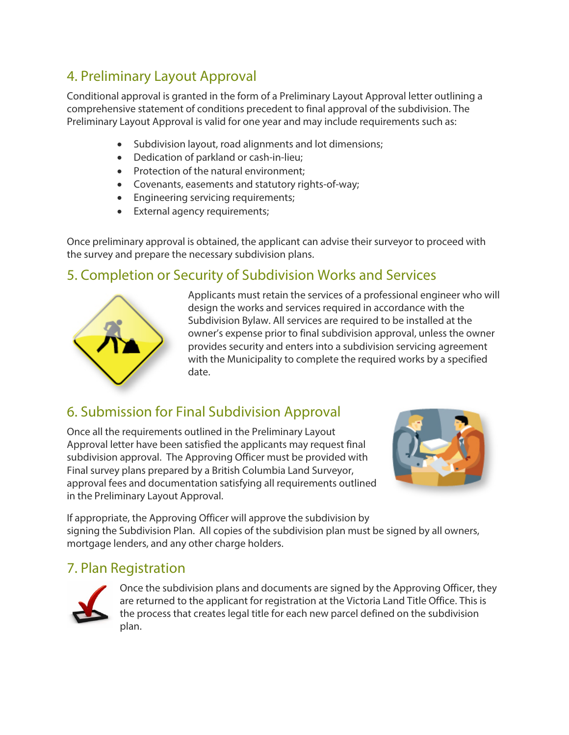# 4. Preliminary Layout Approval

Conditional approval is granted in the form of a Preliminary Layout Approval letter outlining a comprehensive statement of conditions precedent to final approval of the subdivision. The Preliminary Layout Approval is valid for one year and may include requirements such as:

- Subdivision layout, road alignments and lot dimensions;
- Dedication of parkland or cash-in-lieu;
- Protection of the natural environment;
- Covenants, easements and statutory rights-of-way;
- Engineering servicing requirements;
- External agency requirements;

Once preliminary approval is obtained, the applicant can advise their surveyor to proceed with the survey and prepare the necessary subdivision plans.

### 5. Completion or Security of Subdivision Works and Services



Applicants must retain the services of a professional engineer who will design the works and services required in accordance with the Subdivision Bylaw. All services are required to be installed at the owner's expense prior to final subdivision approval, unless the owner provides security and enters into a subdivision servicing agreement with the Municipality to complete the required works by a specified date.

# 6. Submission for Final Subdivision Approval

Once all the requirements outlined in the Preliminary Layout Approval letter have been satisfied the applicants may request final subdivision approval. The Approving Officer must be provided with Final survey plans prepared by a British Columbia Land Surveyor, approval fees and documentation satisfying all requirements outlined in the Preliminary Layout Approval.



If appropriate, the Approving Officer will approve the subdivision by signing the Subdivision Plan. All copies of the subdivision plan must be signed by all owners, mortgage lenders, and any other charge holders.

#### 7. Plan Registration



Once the subdivision plans and documents are signed by the Approving Officer, they are returned to the applicant for registration at the Victoria Land Title Office. This is the process that creates legal title for each new parcel defined on the subdivision plan.